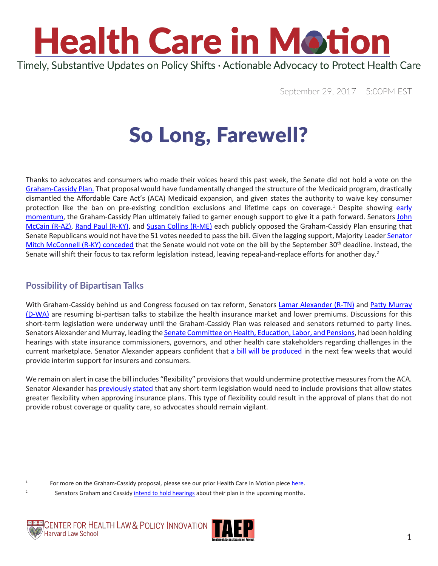

September 29, 2017 5:00PM EST

## So Long, Farewell?

Thanks to advocates and consumers who made their voices heard this past week, the Senate did not hold a vote on the [Graham-Cassidy Plan.](https://www.chlpi.org/wp-content/uploads/2013/12/HCIM_09_15_2017.pdf) That proposal would have fundamentally changed the structure of the Medicaid program, drastically dismantled the Affordable Care Act's (ACA) Medicaid expansion, and given states the authority to waive key consumer protection like the ban on pre-existing condition exclusions and lifetime caps on coverage.<sup>1</sup> Despite showing [early](http://www.politico.com/story/2017/09/24/obamacare-graham-cassidy-repeal-243079) [momentum](http://www.politico.com/story/2017/09/24/obamacare-graham-cassidy-repeal-243079), the Graham-Cassidy Plan ultimately failed to garner enough support to give it a path forward. Senators [John](https://www.mccain.senate.gov/public/index.cfm/press-releases?ID=1D7F89BB-FF93-41A5-85B8-C87E3CCCC4CE) [McCain \(R-AZ\)](https://www.mccain.senate.gov/public/index.cfm/press-releases?ID=1D7F89BB-FF93-41A5-85B8-C87E3CCCC4CE), [Rand Paul \(R-KY\)](https://www.paul.senate.gov/news/article/fox-news-op-ed-graham/cassidy-does-not-repeal-obamacare-and-i-oppose-it), and [Susan Collins \(R-ME\)](https://www.collins.senate.gov/newsroom/senator-collins-opposes-graham-cassidy-health-care-bills) each publicly opposed the Graham-Cassidy Plan ensuring that Senate Republicans would not have the 51 votes needed to pass the bill. Given the lagging support, Majority Leader [Senator](https://www.nytimes.com/2017/09/26/us/politics/mcconnell-obamacare-repeal-graham-cassidy-trump.html?mcubz=3&_r=0) [Mitch McConnell \(R-KY\) conceded](https://www.nytimes.com/2017/09/26/us/politics/mcconnell-obamacare-repeal-graham-cassidy-trump.html?mcubz=3&_r=0) that the Senate would not vote on the bill by the September  $30<sup>th</sup>$  deadline. Instead, the Senate will shift their focus to tax reform legislation instead, leaving repeal-and-replace efforts for another day.<sup>2</sup>

#### **Possibility of Bipartisan Talks**

With Graham-Cassidy behind us and Congress focused on tax reform, Senators [Lamar Alexander \(R-TN\)](https://www.alexander.senate.gov/public/) and [Patty Murray](https://www.murray.senate.gov/public/index.cfm/contactme) [\(D-WA\)](https://www.murray.senate.gov/public/index.cfm/contactme) are resuming bi-partisan talks to stabilize the health insurance market and lower premiums. Discussions for this short-term legislation were underway until the Graham-Cassidy Plan was released and senators returned to party lines. Senators Alexander and Murray, leading the [Senate Committee on Health, Education, Labor, and Pensions,](https://www.help.senate.gov/) had been holding hearings with state insurance commissioners, governors, and other health care stakeholders regarding challenges in the current marketplace. Senator Alexander appears confident that [a bill will be produced](http://www.politico.com/story/2017/09/28/alexander-murray-obamacare-plan-243258) in the next few weeks that would provide interim support for insurers and consumers.

We remain on alert in case the bill includes "flexibility" provisions that would undermine protective measures from the ACA. Senator Alexander has [previously stated](http://www.businessinsider.com/lamar-alexander-patty-murray-bipartisan-health-care-plan-obamacare-fix-2017-8) that any short-term legislation would need to include provisions that allow states greater flexibility when approving insurance plans. This type of flexibility could result in the approval of plans that do not provide robust coverage or quality care, so advocates should remain vigilant.

<sup>2</sup> Senators Graham and Cassidy [intend to hold hearings](http://thehill.com/policy/healthcare/353009-graham-cassidy-sponsors-vow-to-press-on-with-health-care-reform) about their plan in the upcoming months.



1



For more on the Graham-Cassidy proposal, please see our prior Health Care in Motion piece [here.](https://www.chlpi.org/wp-content/uploads/2013/12/HCIM_09_22_2017.pdf)